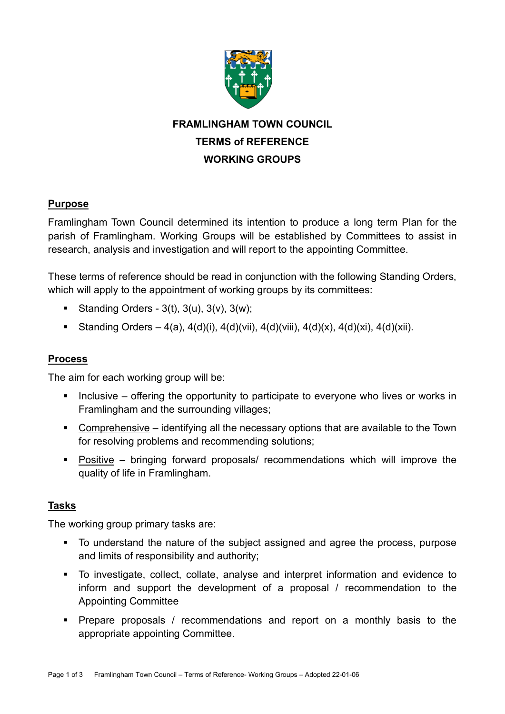

# **FRAMLINGHAM TOWN COUNCIL TERMS of REFERENCE WORKING GROUPS**

## **Purpose**

Framlingham Town Council determined its intention to produce a long term Plan for the parish of Framlingham. Working Groups will be established by Committees to assist in research, analysis and investigation and will report to the appointing Committee.

These terms of reference should be read in conjunction with the following Standing Orders, which will apply to the appointment of working groups by its committees:

- Standing Orders  $3(t)$ ,  $3(u)$ ,  $3(v)$ ,  $3(w)$ ;
- **•** Standing Orders 4(a), 4(d)(i), 4(d)(vii), 4(d)(viii), 4(d)(x), 4(d)(xi), 4(d)(xii).

### **Process**

The aim for each working group will be:

- Inclusive offering the opportunity to participate to everyone who lives or works in Framlingham and the surrounding villages;
- Comprehensive identifying all the necessary options that are available to the Town for resolving problems and recommending solutions;
- Positive bringing forward proposals/ recommendations which will improve the quality of life in Framlingham.

# **Tasks**

The working group primary tasks are:

- To understand the nature of the subject assigned and agree the process, purpose and limits of responsibility and authority;
- To investigate, collect, collate, analyse and interpret information and evidence to inform and support the development of a proposal / recommendation to the Appointing Committee
- Prepare proposals / recommendations and report on a monthly basis to the appropriate appointing Committee.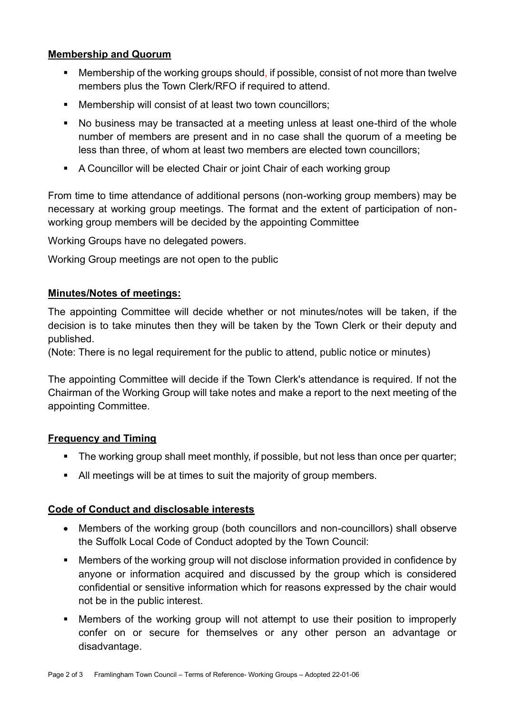### **Membership and Quorum**

- Membership of the working groups should, if possible, consist of not more than twelve members plus the Town Clerk/RFO if required to attend.
- Membership will consist of at least two town councillors;
- No business may be transacted at a meeting unless at least one-third of the whole number of members are present and in no case shall the quorum of a meeting be less than three, of whom at least two members are elected town councillors;
- A Councillor will be elected Chair or joint Chair of each working group

From time to time attendance of additional persons (non-working group members) may be necessary at working group meetings. The format and the extent of participation of nonworking group members will be decided by the appointing Committee

Working Groups have no delegated powers.

Working Group meetings are not open to the public

### **Minutes/Notes of meetings:**

The appointing Committee will decide whether or not minutes/notes will be taken, if the decision is to take minutes then they will be taken by the Town Clerk or their deputy and published.

(Note: There is no legal requirement for the public to attend, public notice or minutes)

The appointing Committee will decide if the Town Clerk's attendance is required. If not the Chairman of the Working Group will take notes and make a report to the next meeting of the appointing Committee.

#### **Frequency and Timing**

- The working group shall meet monthly, if possible, but not less than once per quarter;
- All meetings will be at times to suit the majority of group members.

#### **Code of Conduct and disclosable interests**

- Members of the working group (both councillors and non-councillors) shall observe the Suffolk Local Code of Conduct adopted by the Town Council:
- Members of the working group will not disclose information provided in confidence by anyone or information acquired and discussed by the group which is considered confidential or sensitive information which for reasons expressed by the chair would not be in the public interest.
- **■** Members of the working group will not attempt to use their position to improperly confer on or secure for themselves or any other person an advantage or disadvantage.